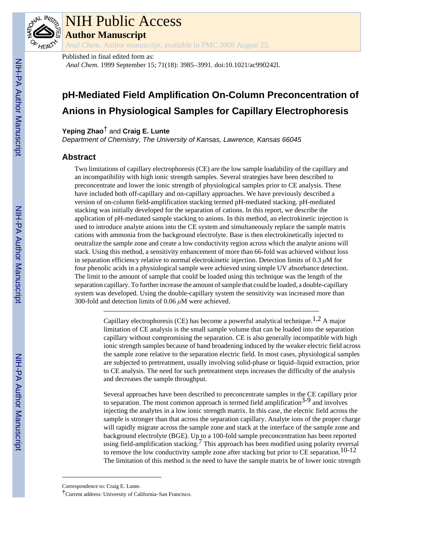

# NIH Public Access

**Author Manuscript**

*Anal Chem*. Author manuscript; available in PMC 2008 August 25.

Published in final edited form as: *Anal Chem*. 1999 September 15; 71(18): 3985–3991. doi:10.1021/ac990242l.

# **pH-Mediated Field Amplification On-Column Preconcentration of Anions in Physiological Samples for Capillary Electrophoresis**

**Yeping Zhao**† and **Craig E. Lunte**

*Department of Chemistry, The University of Kansas, Lawrence, Kansas 66045*

# **Abstract**

Two limitations of capillary electrophoresis (CE) are the low sample loadability of the capillary and an incompatibility with high ionic strength samples. Several strategies have been described to preconcentrate and lower the ionic strength of physiological samples prior to CE analysis. These have included both off-capillary and on-capillary approaches. We have previously described a version of on-column field-amplification stacking termed pH-mediated stacking. pH-mediated stacking was initially developed for the separation of cations. In this report, we describe the application of pH-mediated sample stacking to anions. In this method, an electrokinetic injection is used to introduce analyte anions into the CE system and simultaneously replace the sample matrix cations with ammonia from the background electrolyte. Base is then electrokinetically injected to neutralize the sample zone and create a low conductivity region across which the analyte anions will stack. Using this method, a sensitivity enhancement of more than 66-fold was achieved without loss in separation efficiency relative to normal electrokinetic injection. Detection limits of 0.3 *μ*M for four phenolic acids in a physiological sample were achieved using simple UV absorbance detection. The limit to the amount of sample that could be loaded using this technique was the length of the separation capillary. To further increase the amount of sample that could be loaded, a double-capillary system was developed. Using the double-capillary system the sensitivity was increased more than 300-fold and detection limits of 0.06 *μ*M were achieved.

> Capillary electrophoresis (CE) has become a powerful analytical technique.<sup>1,2</sup> A major limitation of CE analysis is the small sample volume that can be loaded into the separation capillary without compromising the separation. CE is also generally incompatible with high ionic strength samples because of band broadening induced by the weaker electric field across the sample zone relative to the separation electric field. In most cases, physiological samples are subjected to pretreatment, usually involving solid-phase or liquid–liquid extraction, prior to CE analysis. The need for such pretreatment steps increases the difficulty of the analysis and decreases the sample throughput.

> Several approaches have been described to preconcentrate samples in the CE capillary prior to separation. The most common approach is termed field amplification<sup>3-9</sup> and involves injecting the analytes in a low ionic strength matrix. In this case, the electric field across the sample is stronger than that across the separation capillary. Analyte ions of the proper charge will rapidly migrate across the sample zone and stack at the interface of the sample zone and background electrolyte (BGE). Up to a 100-fold sample preconcentration has been reported using field-amplification stacking.<sup>7</sup> This approach has been modified using polarity reversal to remove the low conductivity sample zone after stacking but prior to  $CE$  separation.<sup>10-12</sup> The limitation of this method is the need to have the sample matrix be of lower ionic strength

Correspondence to: Craig E. Lunte.

<sup>†</sup>Current address: University of California–San Francisco.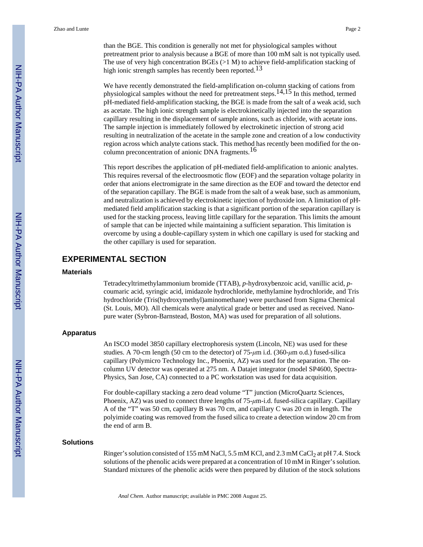than the BGE. This condition is generally not met for physiological samples without pretreatment prior to analysis because a BGE of more than 100 mM salt is not typically used. The use of very high concentration BGEs  $(>1$  M) to achieve field-amplification stacking of high ionic strength samples has recently been reported.<sup>13</sup>

We have recently demonstrated the field-amplification on-column stacking of cations from physiological samples without the need for pretreatment steps.<sup>14,15</sup> In this method, termed pH-mediated field-amplification stacking, the BGE is made from the salt of a weak acid, such as acetate. The high ionic strength sample is electrokinetically injected into the separation capillary resulting in the displacement of sample anions, such as chloride, with acetate ions. The sample injection is immediately followed by electrokinetic injection of strong acid resulting in neutralization of the acetate in the sample zone and creation of a low conductivity region across which analyte cations stack. This method has recently been modified for the oncolumn preconcentration of anionic DNA fragments.<sup>16</sup>

This report describes the application of pH-mediated field-amplification to anionic analytes. This requires reversal of the electroosmotic flow (EOF) and the separation voltage polarity in order that anions electromigrate in the same direction as the EOF and toward the detector end of the separation capillary. The BGE is made from the salt of a weak base, such as ammonium, and neutralization is achieved by electrokinetic injection of hydroxide ion. A limitation of pHmediated field amplification stacking is that a significant portion of the separation capillary is used for the stacking process, leaving little capillary for the separation. This limits the amount of sample that can be injected while maintaining a sufficient separation. This limitation is overcome by using a double-capillary system in which one capillary is used for stacking and the other capillary is used for separation.

### **EXPERIMENTAL SECTION**

#### **Materials**

Tetradecyltrimethylammonium bromide (TTAB), *p*-hydroxybenzoic acid, vanillic acid, *p*coumaric acid, syringic acid, imidazole hydrochloride, methylamine hydrochloride, and Tris hydrochloride (Tris(hydroxymethyl)aminomethane) were purchased from Sigma Chemical (St. Louis, MO). All chemicals were analytical grade or better and used as received. Nanopure water (Sybron-Barnstead, Boston, MA) was used for preparation of all solutions.

#### **Apparatus**

An ISCO model 3850 capillary electrophoresis system (Lincoln, NE) was used for these studies. A 70-cm length (50 cm to the detector) of 75-*μ*m i.d. (360-*μ*m o.d.) fused-silica capillary (Polymicro Technology Inc., Phoenix, AZ) was used for the separation. The oncolumn UV detector was operated at 275 nm. A Datajet integrator (model SP4600, Spectra-Physics, San Jose, CA) connected to a PC workstation was used for data acquisition.

For double-capillary stacking a zero dead volume "T" junction (MicroQuartz Sciences, Phoenix, AZ) was used to connect three lengths of 75-*μ*m-i.d. fused-silica capillary. Capillary A of the "T" was 50 cm, capillary B was 70 cm, and capillary C was 20 cm in length. The polyimide coating was removed from the fused silica to create a detection window 20 cm from the end of arm B.

#### **Solutions**

Ringer's solution consisted of 155 mM NaCl, 5.5 mM KCl, and 2.3 mM CaCl<sub>2</sub> at pH 7.4. Stock solutions of the phenolic acids were prepared at a concentration of 10 mM in Ringer's solution. Standard mixtures of the phenolic acids were then prepared by dilution of the stock solutions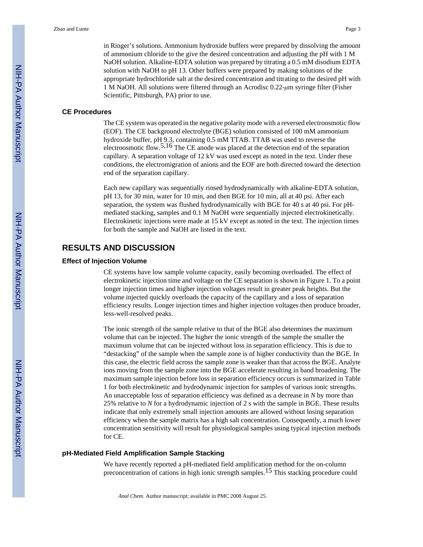in Ringer's solutions. Ammonium hydroxide buffers were prepared by dissolving the amount of ammonium chloride to the give the desired concentration and adjusting the pH with 1 M NaOH solution. Alkaline-EDTA solution was prepared by titrating a 0.5 mM disodium EDTA solution with NaOH to pH 13. Other buffers were prepared by making solutions of the appropriate hydrochloride salt at the desired concentration and titrating to the desired pH with 1 M NaOH. All solutions were filtered through an Acrodisc 0.22-*μ*m syringe filter (Fisher Scientific, Pittsburgh, PA) prior to use.

#### **CE Procedures**

The CE system was operated in the negative polarity mode with a reversed electroosmotic flow (EOF). The CE background electrolyte (BGE) solution consisted of 100 mM ammonium hydroxide buffer, pH 9.3, containing 0.5 mM TTAB. TTAB was used to reverse the electroosmotic flow.<sup>5,16</sup> The CE anode was placed at the detection end of the separation capillary. A separation voltage of 12 kV was used except as noted in the text. Under these conditions, the electromigration of anions and the EOF are both directed toward the detection end of the separation capillary.

Each new capillary was sequentially rinsed hydrodynamically with alkaline-EDTA solution, pH 13, for 30 min, water for 10 min, and then BGE for 10 min, all at 40 psi. After each separation, the system was flushed hydrodynamically with BGE for 40 s at 40 psi. For pHmediated stacking, samples and 0.1 M NaOH were sequentially injected electrokinetically. Electrokinetic injections were made at 15 kV except as noted in the text. The injection times for both the sample and NaOH are listed in the text.

#### **RESULTS AND DISCUSSION**

#### **Effect of Injection Volume**

CE systems have low sample volume capacity, easily becoming overloaded. The effect of electrokinetic injection time and voltage on the CE separation is shown in Figure 1. To a point longer injection times and higher injection voltages result in greater peak heights. But the volume injected quickly overloads the capacity of the capillary and a loss of separation efficiency results. Longer injection times and higher injection voltages then produce broader, less-well-resolved peaks.

The ionic strength of the sample relative to that of the BGE also determines the maximum volume that can be injected. The higher the ionic strength of the sample the smaller the maximum volume that can be injected without loss in separation efficiency. This is due to "destacking" of the sample when the sample zone is of higher conductivity than the BGE. In this case, the electric field across the sample zone is weaker than that across the BGE. Analyte ions moving from the sample zone into the BGE accelerate resulting in band broadening. The maximum sample injection before loss in separation efficiency occurs is summarized in Table 1 for both electrokinetic and hydrodynamic injection for samples of various ionic strengths. An unacceptable loss of separation efficiency was defined as a decrease in *N* by more than 25% relative to *N* for a hydrodynamic injection of 2 s with the sample in BGE. These results indicate that only extremely small injection amounts are allowed without losing separation efficiency when the sample matrix has a high salt concentration. Consequently, a much lower concentration sensitivity will result for physiological samples using typical injection methods for CE.

#### **pH-Mediated Field Amplification Sample Stacking**

We have recently reported a pH-mediated field amplification method for the on-column preconcentration of cations in high ionic strength samples.<sup>15</sup> This stacking procedure could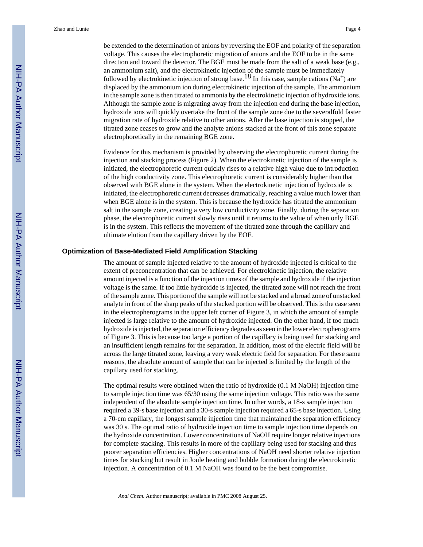be extended to the determination of anions by reversing the EOF and polarity of the separation voltage. This causes the electrophoretic migration of anions and the EOF to be in the same direction and toward the detector. The BGE must be made from the salt of a weak base (e.g., an ammonium salt), and the electrokinetic injection of the sample must be immediately followed by electrokinetic injection of strong base.<sup>18</sup> In this case, sample cations (Na<sup>+</sup>) are displaced by the ammonium ion during electrokinetic injection of the sample. The ammonium in the sample zone is then titrated to ammonia by the electrokinetic injection of hydroxide ions. Although the sample zone is migrating away from the injection end during the base injection, hydroxide ions will quickly overtake the front of the sample zone due to the severalfold faster migration rate of hydroxide relative to other anions. After the base injection is stopped, the titrated zone ceases to grow and the analyte anions stacked at the front of this zone separate electrophoretically in the remaining BGE zone.

Evidence for this mechanism is provided by observing the electrophoretic current during the injection and stacking process (Figure 2). When the electrokinetic injection of the sample is initiated, the electrophoretic current quickly rises to a relative high value due to introduction of the high conductivity zone. This electrophoretic current is considerably higher than that observed with BGE alone in the system. When the electrokinetic injection of hydroxide is initiated, the electrophoretic current decreases dramatically, reaching a value much lower than when BGE alone is in the system. This is because the hydroxide has titrated the ammonium salt in the sample zone, creating a very low conductivity zone. Finally, during the separation phase, the electrophoretic current slowly rises until it returns to the value of when only BGE is in the system. This reflects the movement of the titrated zone through the capillary and ultimate elution from the capillary driven by the EOF.

#### **Optimization of Base-Mediated Field Amplification Stacking**

The amount of sample injected relative to the amount of hydroxide injected is critical to the extent of preconcentration that can be achieved. For electrokinetic injection, the relative amount injected is a function of the injection times of the sample and hydroxide if the injection voltage is the same. If too little hydroxide is injected, the titrated zone will not reach the front of the sample zone. This portion of the sample will not be stacked and a broad zone of unstacked analyte in front of the sharp peaks of the stacked portion will be observed. This is the case seen in the electropherograms in the upper left corner of Figure 3, in which the amount of sample injected is large relative to the amount of hydroxide injected. On the other hand, if too much hydroxide is injected, the separation efficiency degrades as seen in the lower electropherograms of Figure 3. This is because too large a portion of the capillary is being used for stacking and an insufficient length remains for the separation. In addition, most of the electric field will be across the large titrated zone, leaving a very weak electric field for separation. For these same reasons, the absolute amount of sample that can be injected is limited by the length of the capillary used for stacking.

The optimal results were obtained when the ratio of hydroxide (0.1 M NaOH) injection time to sample injection time was 65/30 using the same injection voltage. This ratio was the same independent of the absolute sample injection time. In other words, a 18-s sample injection required a 39-s base injection and a 30-s sample injection required a 65-s base injection. Using a 70-cm capillary, the longest sample injection time that maintained the separation efficiency was 30 s. The optimal ratio of hydroxide injection time to sample injection time depends on the hydroxide concentration. Lower concentrations of NaOH require longer relative injections for complete stacking. This results in more of the capillary being used for stacking and thus poorer separation efficiencies. Higher concentrations of NaOH need shorter relative injection times for stacking but result in Joule heating and bubble formation during the electrokinetic injection. A concentration of 0.1 M NaOH was found to be the best compromise.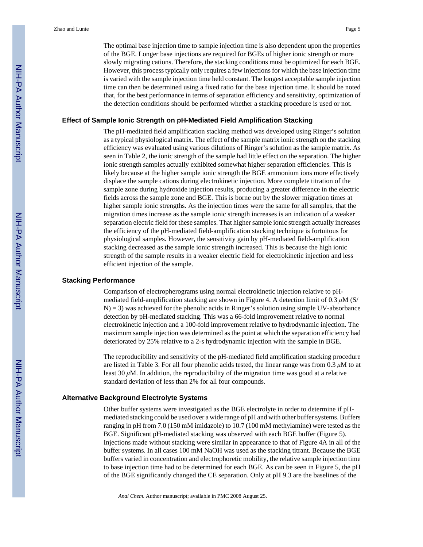The optimal base injection time to sample injection time is also dependent upon the properties of the BGE. Longer base injections are required for BGEs of higher ionic strength or more slowly migrating cations. Therefore, the stacking conditions must be optimized for each BGE. However, this process typically only requires a few injections for which the base injection time is varied with the sample injection time held constant. The longest acceptable sample injection time can then be determined using a fixed ratio for the base injection time. It should be noted that, for the best performance in terms of separation efficiency and sensitivity, optimization of the detection conditions should be performed whether a stacking procedure is used or not.

#### **Effect of Sample Ionic Strength on pH-Mediated Field Amplification Stacking**

The pH-mediated field amplification stacking method was developed using Ringer's solution as a typical physiological matrix. The effect of the sample matrix ionic strength on the stacking efficiency was evaluated using various dilutions of Ringer's solution as the sample matrix. As seen in Table 2, the ionic strength of the sample had little effect on the separation. The higher ionic strength samples actually exhibited somewhat higher separation efficiencies. This is likely because at the higher sample ionic strength the BGE ammonium ions more effectively displace the sample cations during electrokinetic injection. More complete titration of the sample zone during hydroxide injection results, producing a greater difference in the electric fields across the sample zone and BGE. This is borne out by the slower migration times at higher sample ionic strengths. As the injection times were the same for all samples, that the migration times increase as the sample ionic strength increases is an indication of a weaker separation electric field for these samples. That higher sample ionic strength actually increases the efficiency of the pH-mediated field-amplification stacking technique is fortuitous for physiological samples. However, the sensitivity gain by pH-mediated field-amplification stacking decreased as the sample ionic strength increased. This is because the high ionic strength of the sample results in a weaker electric field for electrokinetic injection and less efficient injection of the sample.

#### **Stacking Performance**

Comparison of electropherograms using normal electrokinetic injection relative to pHmediated field-amplification stacking are shown in Figure 4. A detection limit of 0.3 *μ*M (S/  $N$  = 3) was achieved for the phenolic acids in Ringer's solution using simple UV-absorbance detection by pH-mediated stacking. This was a 66-fold improvement relative to normal electrokinetic injection and a 100-fold improvement relative to hydrodynamic injection. The maximum sample injection was determined as the point at which the separation efficiency had deteriorated by 25% relative to a 2-s hydrodynamic injection with the sample in BGE.

The reproducibility and sensitivity of the pH-mediated field amplification stacking procedure are listed in Table 3. For all four phenolic acids tested, the linear range was from 0.3 *μ*M to at least 30 *μ*M. In addition, the reproducibility of the migration time was good at a relative standard deviation of less than 2% for all four compounds.

#### **Alternative Background Electrolyte Systems**

Other buffer systems were investigated as the BGE electrolyte in order to determine if pHmediated stacking could be used over a wide range of pH and with other buffer systems. Buffers ranging in pH from 7.0 (150 mM imidazole) to 10.7 (100 mM methylamine) were tested as the BGE. Significant pH-mediated stacking was observed with each BGE buffer (Figure 5). Injections made without stacking were similar in appearance to that of Figure 4A in all of the buffer systems. In all cases 100 mM NaOH was used as the stacking titrant. Because the BGE buffers varied in concentration and electrophoretic mobility, the relative sample injection time to base injection time had to be determined for each BGE. As can be seen in Figure 5, the pH of the BGE significantly changed the CE separation. Only at pH 9.3 are the baselines of the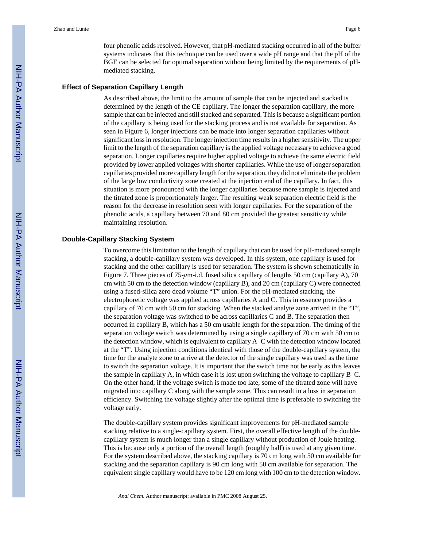four phenolic acids resolved. However, that pH-mediated stacking occurred in all of the buffer systems indicates that this technique can be used over a wide pH range and that the pH of the BGE can be selected for optimal separation without being limited by the requirements of pHmediated stacking.

#### **Effect of Separation Capillary Length**

As described above, the limit to the amount of sample that can be injected and stacked is determined by the length of the CE capillary. The longer the separation capillary, the more sample that can be injected and still stacked and separated. This is because a significant portion of the capillary is being used for the stacking process and is not available for separation. As seen in Figure 6, longer injections can be made into longer separation capillaries without significant loss in resolution. The longer injection time results in a higher sensitivity. The upper limit to the length of the separation capillary is the applied voltage necessary to achieve a good separation. Longer capillaries require higher applied voltage to achieve the same electric field provided by lower applied voltages with shorter capillaries. While the use of longer separation capillaries provided more capillary length for the separation, they did not eliminate the problem of the large low conductivity zone created at the injection end of the capillary. In fact, this situation is more pronounced with the longer capillaries because more sample is injected and the titrated zone is proportionately larger. The resulting weak separation electric field is the reason for the decrease in resolution seen with longer capillaries. For the separation of the phenolic acids, a capillary between 70 and 80 cm provided the greatest sensitivity while maintaining resolution.

#### **Double-Capillary Stacking System**

To overcome this limitation to the length of capillary that can be used for pH-mediated sample stacking, a double-capillary system was developed. In this system, one capillary is used for stacking and the other capillary is used for separation. The system is shown schematically in Figure 7. Three pieces of 75-*μ*m-i.d. fused silica capillary of lengths 50 cm (capillary A), 70 cm with 50 cm to the detection window (capillary B), and 20 cm (capillary C) were connected using a fused-silica zero dead volume "T" union. For the pH-mediated stacking, the electrophoretic voltage was applied across capillaries A and C. This in essence provides a capillary of 70 cm with 50 cm for stacking. When the stacked analyte zone arrived in the "T", the separation voltage was switched to be across capillaries C and B. The separation then occurred in capillary B, which has a 50 cm usable length for the separation. The timing of the separation voltage switch was determined by using a single capillary of 70 cm with 50 cm to the detection window, which is equivalent to capillary A–C with the detection window located at the "T". Using injection conditions identical with those of the double-capillary system, the time for the analyte zone to arrive at the detector of the single capillary was used as the time to switch the separation voltage. It is important that the switch time not be early as this leaves the sample in capillary A, in which case it is lost upon switching the voltage to capillary B–C. On the other hand, if the voltage switch is made too late, some of the titrated zone will have migrated into capillary C along with the sample zone. This can result in a loss in separation efficiency. Switching the voltage slightly after the optimal time is preferable to switching the voltage early.

The double-capillary system provides significant improvements for pH-mediated sample stacking relative to a single-capillary system. First, the overall effective length of the doublecapillary system is much longer than a single capillary without production of Joule heating. This is because only a portion of the overall length (roughly half) is used at any given time. For the system described above, the stacking capillary is 70 cm long with 50 cm available for stacking and the separation capillary is 90 cm long with 50 cm available for separation. The equivalent single capillary would have to be 120 cm long with 100 cm to the detection window.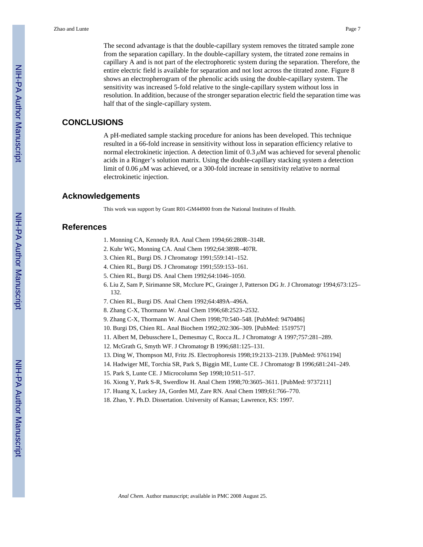The second advantage is that the double-capillary system removes the titrated sample zone from the separation capillary. In the double-capillary system, the titrated zone remains in capillary A and is not part of the electrophoretic system during the separation. Therefore, the entire electric field is available for separation and not lost across the titrated zone. Figure 8 shows an electropherogram of the phenolic acids using the double-capillary system. The sensitivity was increased 5-fold relative to the single-capillary system without loss in resolution. In addition, because of the stronger separation electric field the separation time was half that of the single-capillary system.

#### **CONCLUSIONS**

A pH-mediated sample stacking procedure for anions has been developed. This technique resulted in a 66-fold increase in sensitivity without loss in separation efficiency relative to normal electrokinetic injection. A detection limit of 0.3 *μ*M was achieved for several phenolic acids in a Ringer's solution matrix. Using the double-capillary stacking system a detection limit of 0.06 *μ*M was achieved, or a 300-fold increase in sensitivity relative to normal electrokinetic injection.

#### **Acknowledgements**

This work was support by Grant R01-GM44900 from the National Institutes of Health.

#### **References**

- 1. Monning CA, Kennedy RA. Anal Chem 1994;66:280R–314R.
- 2. Kuhr WG, Monning CA. Anal Chem 1992;64:389R–407R.
- 3. Chien RL, Burgi DS. J Chromatogr 1991;559:141–152.
- 4. Chien RL, Burgi DS. J Chromatogr 1991;559:153–161.
- 5. Chien RL, Burgi DS. Anal Chem 1992;64:1046–1050.
- 6. Liu Z, Sam P, Sirimanne SR, Mcclure PC, Grainger J, Patterson DG Jr. J Chromatogr 1994;673:125– 132.
- 7. Chien RL, Burgi DS. Anal Chem 1992;64:489A–496A.
- 8. Zhang C-X, Thormann W. Anal Chem 1996;68:2523–2532.
- 9. Zhang C-X, Thormann W. Anal Chem 1998;70:540–548. [PubMed: 9470486]
- 10. Burgi DS, Chien RL. Anal Biochem 1992;202:306–309. [PubMed: 1519757]
- 11. Albert M, Debusschere L, Demesmay C, Rocca JL. J Chromatogr A 1997;757:281–289.
- 12. McGrath G, Smyth WF. J Chromatogr B 1996;681:125–131.
- 13. Ding W, Thompson MJ, Fritz JS. Electrophoresis 1998;19:2133–2139. [PubMed: 9761194]
- 14. Hadwiger ME, Torchia SR, Park S, Biggin ME, Lunte CE. J Chromatogr B 1996;681:241–249.
- 15. Park S, Lunte CE. J Microcolumn Sep 1998;10:511–517.
- 16. Xiong Y, Park S-R, Swerdlow H. Anal Chem 1998;70:3605–3611. [PubMed: 9737211]
- 17. Huang X, Luckey JA, Gorden MJ, Zare RN. Anal Chem 1989;61:766–770.
- 18. Zhao, Y. Ph.D. Dissertation. University of Kansas; Lawrence, KS: 1997.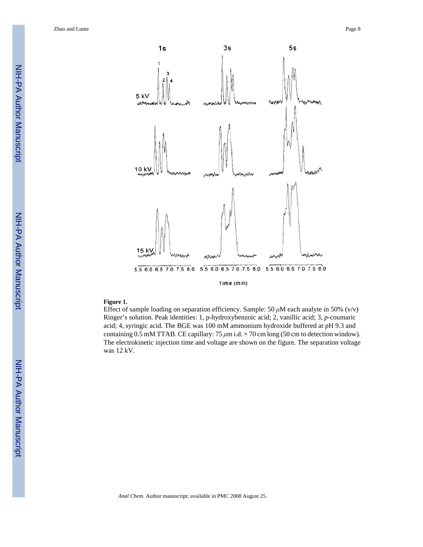

#### **Figure 1.**

Effect of sample loading on separation efficiency. Sample: 50 *μ*M each analyte in 50% (v/v) Ringer's solution. Peak identities: 1, p-hydroxybenzoic acid; 2, vanillic acid; 3, *p*-coumaric acid; 4, syringic acid. The BGE was 100 mM ammonium hydroxide buffered at pH 9.3 and containing 0.5 mM TTAB. CE capillary: 75 *μ*m i.d. × 70 cm long (50 cm to detection window). The electrokinetic injection time and voltage are shown on the figure. The separation voltage was 12 kV.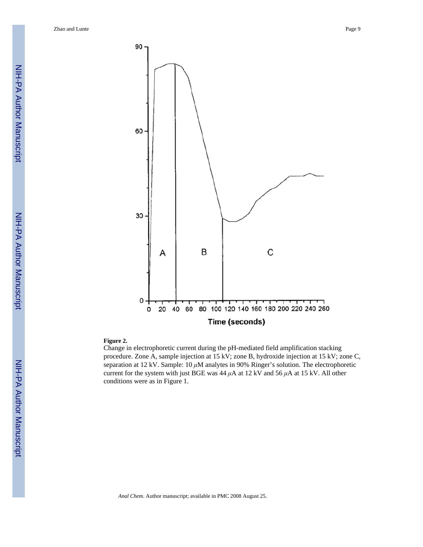Zhao and Lunte Page 9





#### **Figure 2.**

Change in electrophoretic current during the pH-mediated field amplification stacking procedure. Zone A, sample injection at 15 kV; zone B, hydroxide injection at 15 kV; zone C, separation at 12 kV. Sample: 10 *μ*M analytes in 90% Ringer's solution. The electrophoretic current for the system with just BGE was 44 *μ*A at 12 kV and 56 *μ*A at 15 kV. All other conditions were as in Figure 1.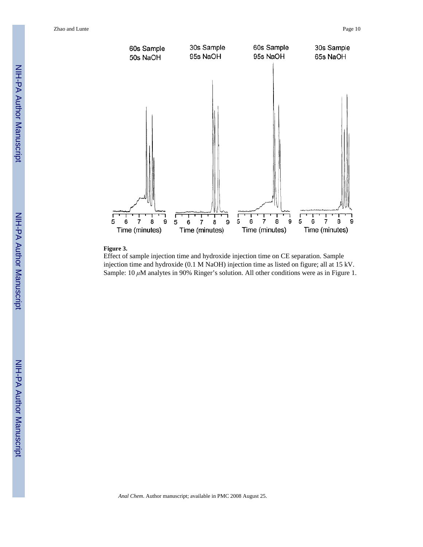

#### **Figure 3.**

Effect of sample injection time and hydroxide injection time on CE separation. Sample injection time and hydroxide (0.1 M NaOH) injection time as listed on figure; all at 15 kV. Sample: 10 *μ*M analytes in 90% Ringer's solution. All other conditions were as in Figure 1.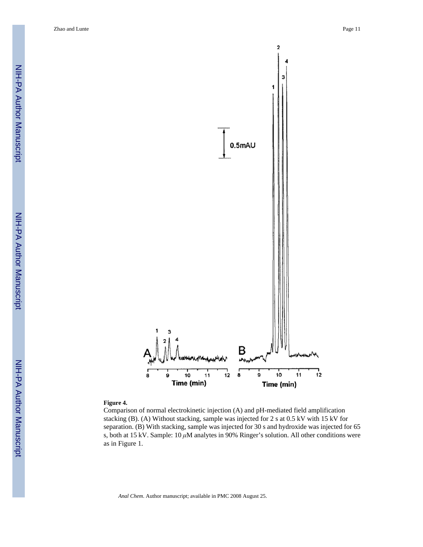

#### **Figure 4.**

Comparison of normal electrokinetic injection (A) and pH-mediated field amplification stacking (B). (A) Without stacking, sample was injected for 2 s at 0.5 kV with 15 kV for separation. (B) With stacking, sample was injected for 30 s and hydroxide was injected for 65 s, both at 15 kV. Sample: 10 *μ*M analytes in 90% Ringer's solution. All other conditions were as in Figure 1.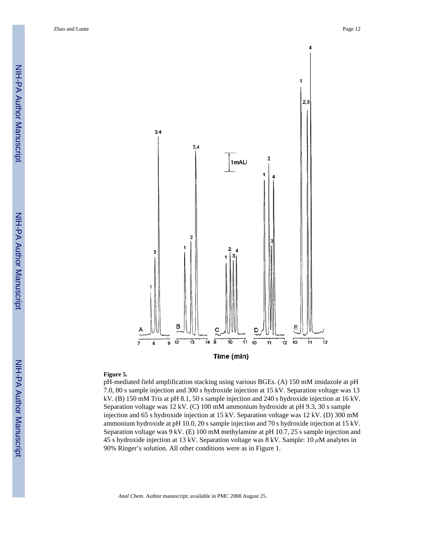Zhao and Lunte Page 12

![](_page_11_Figure_5.jpeg)

#### **Figure 5.**

pH-mediated field amplification stacking using various BGEs. (A) 150 mM imidazole at pH 7.0, 80 s sample injection and 300 s hydroxide injection at 15 kV. Separation voltage was 13 kV. (B) 150 mM Tris at pH 8.1, 50 s sample injection and 240 s hydroxide injection at 16 kV. Separation voltage was 12 kV. (C) 100 mM ammonium hydroxide at pH 9.3, 30 s sample injection and 65 s hydroxide injection at 15 kV. Separation voltage was 12 kV. (D) 300 mM ammonium hydroxide at pH 10.0, 20 s sample injection and 70 s hydroxide injection at 15 kV. Separation voltage was 9 kV. (E) 100 mM methylamine at pH 10.7, 25 s sample injection and 45 s hydroxide injection at 13 kV. Separation voltage was 8 kV. Sample: 10 *μ*M analytes in 90% Ringer's solution. All other conditions were as in Figure 1.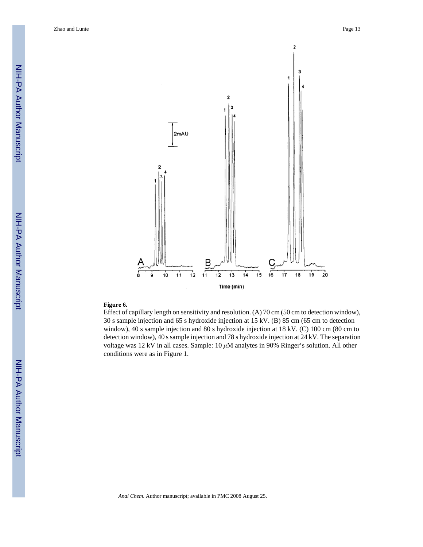![](_page_12_Figure_2.jpeg)

#### **Figure 6.**

Effect of capillary length on sensitivity and resolution. (A) 70 cm (50 cm to detection window), 30 s sample injection and 65 s hydroxide injection at 15 kV. (B) 85 cm (65 cm to detection window), 40 s sample injection and 80 s hydroxide injection at 18 kV. (C) 100 cm (80 cm to detection window), 40 s sample injection and 78 s hydroxide injection at 24 kV. The separation voltage was 12 kV in all cases. Sample: 10 *μ*M analytes in 90% Ringer's solution. All other conditions were as in Figure 1.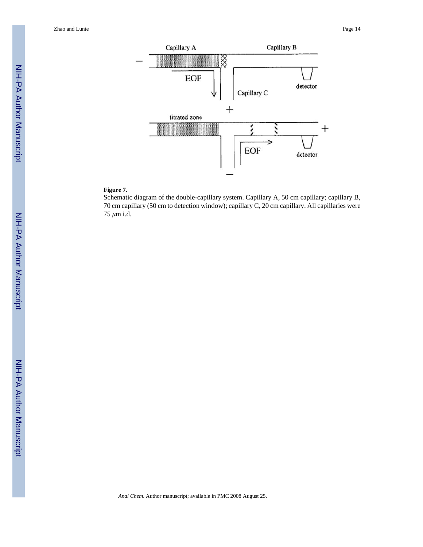Zhao and Lunte Page 14

![](_page_13_Figure_5.jpeg)

#### **Figure 7.**

Schematic diagram of the double-capillary system. Capillary A, 50 cm capillary; capillary B, 70 cm capillary (50 cm to detection window); capillary C, 20 cm capillary. All capillaries were 75 *μ*m i.d.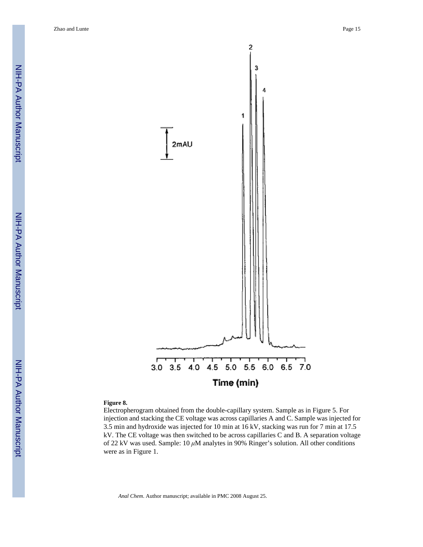![](_page_14_Figure_5.jpeg)

#### **Figure 8.**

Electropherogram obtained from the double-capillary system. Sample as in Figure 5. For injection and stacking the CE voltage was across capillaries A and C. Sample was injected for 3.5 min and hydroxide was injected for 10 min at 16 kV, stacking was run for 7 min at 17.5 kV. The CE voltage was then switched to be across capillaries C and B. A separation voltage of 22 kV was used. Sample: 10 *μ*M analytes in 90% Ringer's solution. All other conditions were as in Figure 1.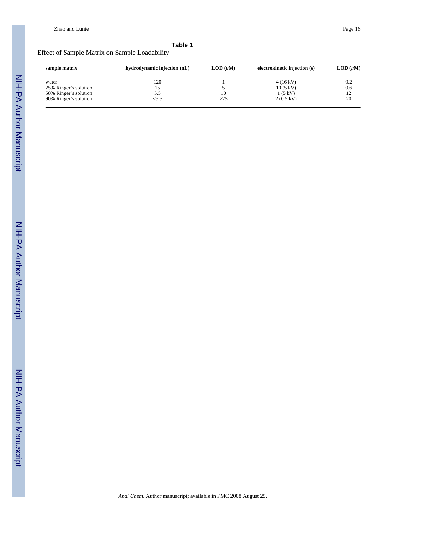#### **Table 1**

# Effect of Sample Matrix on Sample Loadability

| sample matrix         | hydrodynamic injection (nL) | $LOD(\mu M)$ | electrokinetic injection (s) | $LOD(\mu M)$ |
|-----------------------|-----------------------------|--------------|------------------------------|--------------|
| water                 | 120                         |              | $4(16 \text{ kV})$           | 0.2          |
| 25% Ringer's solution |                             |              | 10(5 kV)                     | 0.6          |
| 50% Ringer's solution | 5.5                         | 10           | 1(5 kV)                      | 12           |
| 90% Ringer's solution | < 5.5                       | >25          | 2(0.5 kV)                    | 20           |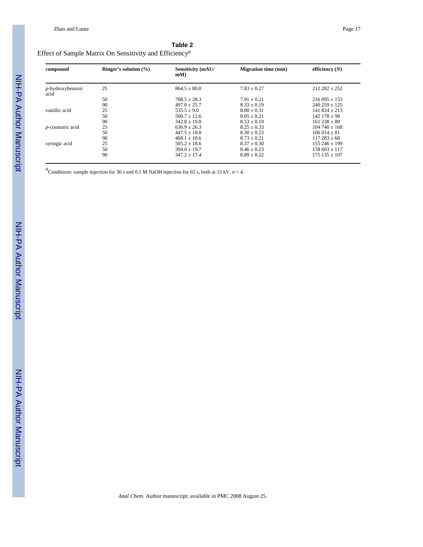|                                                                    | Table 2 |
|--------------------------------------------------------------------|---------|
| Effect of Sample Matrix On Sensitivity and Efficiency <sup>a</sup> |         |

| compound                    | Ringer's solution $(\% )$ | Sensitivity (mAU/<br>mM | <b>Migration time (min)</b> | efficiency $(N)$ |
|-----------------------------|---------------------------|-------------------------|-----------------------------|------------------|
| $p$ -hydroxybenzoic<br>acid | 25                        | $864.5 \pm 80.0$        | $7.83 \pm 0.27$             | $212282 \pm 252$ |
|                             | 50                        | $708.5 + 28.3$          | $7.91 + 0.21$               | $216095 + 153$   |
|                             | 90                        | $497.0 + 25.7$          | $8.33 + 0.19$               | $240\,259 + 125$ |
| vanillic acid               | 25                        | $535.5 + 9.0$           | $8.00 + 0.31$               | $141824 + 213$   |
|                             | 50                        | $500.7 + 12.6$          | $8.05 + 0.21$               | $142$ 178 + 98   |
|                             | 90                        | $342.8 + 19.8$          | $8.53 + 0.19$               | $161238 + 80$    |
| <i>p</i> -coumaric acid     | 25                        | $636.9 + 26.3$          | $8.25 + 0.33$               | $104740 + 168$   |
|                             | 50                        | $447.5 + 18.8$          | $8.30 + 0.23$               | $106014 + 81$    |
|                             | 90                        | $468.1 + 10.6$          | $8.73 + 0.21$               | $117283 + 68$    |
| syringic acid               | 25                        | $505.2 + 18.6$          | $8.37 + 0.30$               | $155246 \pm 199$ |
|                             | 50                        | $394.0 + 19.7$          | $8.46 + 0.23$               | $158603 \pm 117$ |
|                             | 90                        | $347.2 + 17.4$          | $8.89 + 0.22$               | $175135 \pm 107$ |

 $a$ <br>
Conditions: sample injection for 30 s and 0.1 M NaOH injection for 65 s, both at 15 kV. *n* = 4.